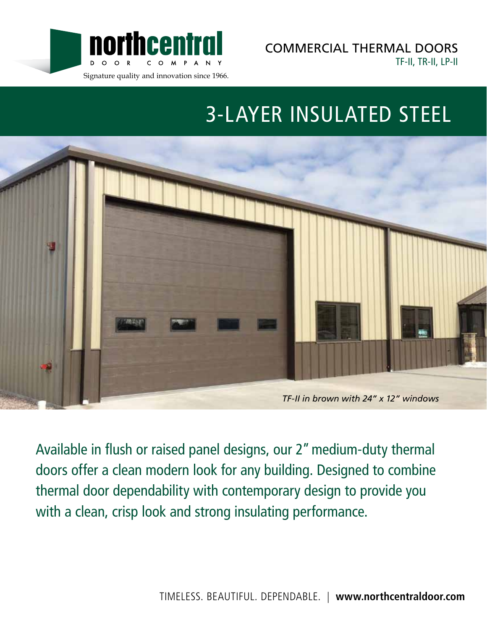

COMMERCIAL THERMAL DOORS TF-II, TR-II, LP-II

# 3-LAYER INSULATED STEEL



Available in flush or raised panel designs, our 2" medium-duty thermal doors offer a clean modern look for any building. Designed to combine thermal door dependability with contemporary design to provide you with a clean, crisp look and strong insulating performance.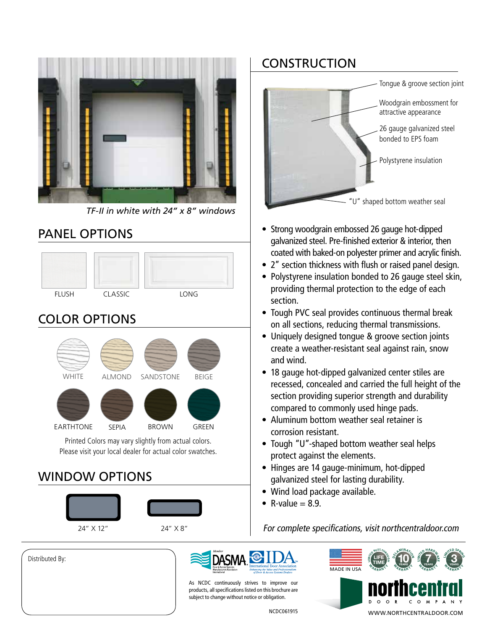

*TF-II in white with 24" x 8" windows*

#### PANEL OPTIONS





Please visit your local dealer for actual color swatches.

# WINDOW OPTIONS



Distributed By:





- Strong woodgrain embossed 26 gauge hot-dipped galvanized steel. Pre-finished exterior & interior, then coated with baked-on polyester primer and acrylic finish.
- 2" section thickness with flush or raised panel design.
- Polystyrene insulation bonded to 26 gauge steel skin, providing thermal protection to the edge of each section.
- Tough PVC seal provides continuous thermal break on all sections, reducing thermal transmissions.
- Uniquely designed tongue & groove section joints create a weather-resistant seal against rain, snow and wind.
- 18 gauge hot-dipped galvanized center stiles are recessed, concealed and carried the full height of the section providing superior strength and durability compared to commonly used hinge pads.
- Aluminum bottom weather seal retainer is corrosion resistant.
- Tough "U"-shaped bottom weather seal helps protect against the elements.
- Hinges are 14 gauge-minimum, hot-dipped galvanized steel for lasting durability.
- Wind load package available.
- R-value  $= 8.9$ .

For complete specifications, visit northcentraldoor.com



As NCDC continuously strives to improve our products, all specifications listed on this brochure are subject to change without notice or obligation.

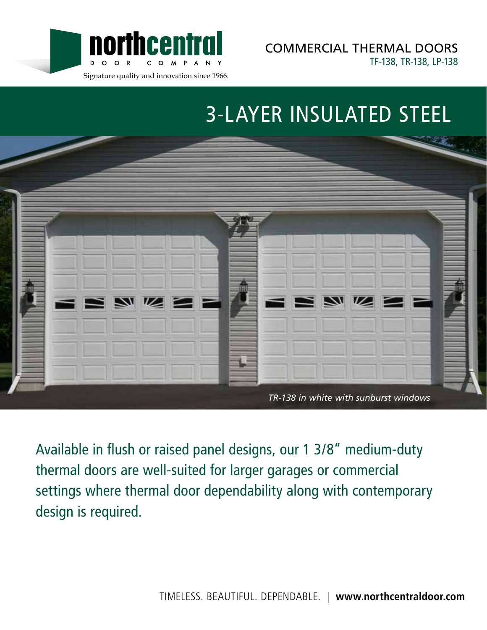

COMMERCIAL THERMAL DOORS TF-138, TR-138, LP-138

# 3-LAYER INSULATED STEEL



Available in flush or raised panel designs, our 1 3/8" medium-duty thermal doors are well-suited for larger garages or commercial settings where thermal door dependability along with contemporary design is required.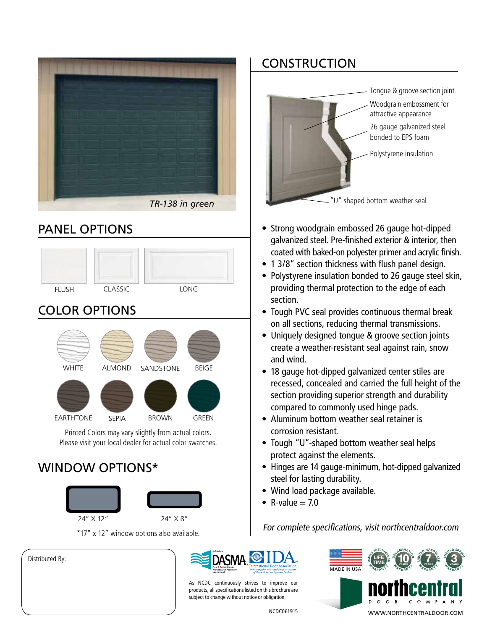

#### PANEL OPTIONS



# COLOR OPTIONS



Printed Colors may vary slightly from actual colors. Please visit your local dealer for actual color swatches.

#### WINDOW OPTIONS\*



Distributed By:

## **CONSTRUCTION**



- Strong woodgrain embossed 26 gauge hot-dipped galvanized steel. Pre-finished exterior & interior, then coated with baked-on polyester primer and acrylic finish.
- 1 3/8" section thickness with flush panel design.
- Polystyrene insulation bonded to 26 gauge steel skin, providing thermal protection to the edge of each section.
- Tough PVC seal provides continuous thermal break on all sections, reducing thermal transmissions.
- Uniquely designed tongue & groove section joints create a weather-resistant seal against rain, snow and wind.
- 18 gauge hot-dipped galvanized center stiles are recessed, concealed and carried the full height of the section providing superior strength and durability compared to commonly used hinge pads.
- Aluminum bottom weather seal retainer is corrosion resistant.
- Tough "U"-shaped bottom weather seal helps protect against the elements.
- Hinges are 14 gauge-minimum, hot-dipped galvanized steel for lasting durability.
- Wind load package available.
- $R-value = 70$

For complete specifications, visit northcentraldoor.com



As NCDC continuously strives to improve our products, all specifications listed on this brochure are subject to change without notice or obligation.

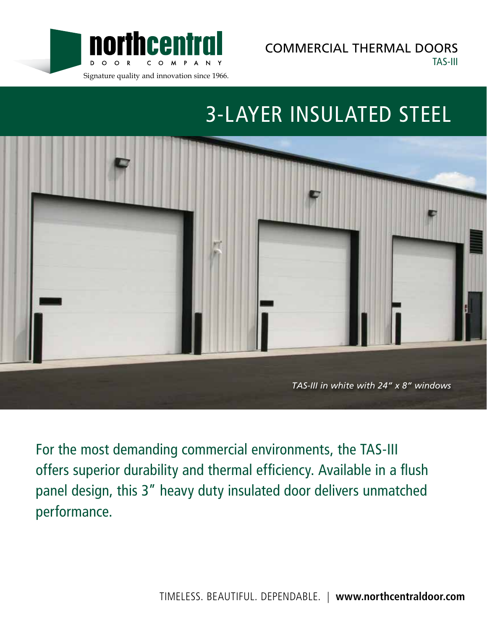

COMMERCIAL THERMAL DOORS TAS-III

# 3-LAYER INSULATED STEEL



For the most demanding commercial environments, the TAS-III offers superior durability and thermal efficiency. Available in a flush panel design, this 3" heavy duty insulated door delivers unmatched performance.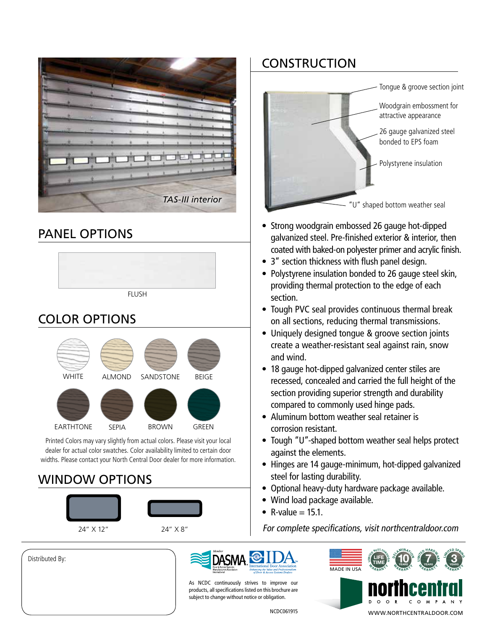|  | <b>TAS-III interior</b> |  |  |  |  |  |  |  |  |  |
|--|-------------------------|--|--|--|--|--|--|--|--|--|

### PANEL OPTIONS



# COLOR OPTIONS



Printed Colors may vary slightly from actual colors. Please visit your local dealer for actual color swatches. Color availability limited to certain door widths. Please contact your North Central Door dealer for more information.

## WINDOW OPTIONS



#### Distributed By:

### **CONSTRUCTION**



- Strong woodgrain embossed 26 gauge hot-dipped galvanized steel. Pre-finished exterior & interior, then coated with baked-on polyester primer and acrylic finish.
- 3" section thickness with flush panel design.
- Polystyrene insulation bonded to 26 gauge steel skin, providing thermal protection to the edge of each section.
- Tough PVC seal provides continuous thermal break on all sections, reducing thermal transmissions.
- Uniquely designed tongue & groove section joints create a weather-resistant seal against rain, snow and wind.
- 18 gauge hot-dipped galvanized center stiles are recessed, concealed and carried the full height of the section providing superior strength and durability compared to commonly used hinge pads.
- Aluminum bottom weather seal retainer is corrosion resistant.
- Tough "U"-shaped bottom weather seal helps protect against the elements.
- Hinges are 14 gauge-minimum, hot-dipped galvanized steel for lasting durability.
- Optional heavy-duty hardware package available.
- Wind load package available.
- R-value  $= 15.1$ .

 $24" \times 12"$  24"  $\times 8"$  For complete specifications, visit northcentraldoor.com



As NCDC continuously strives to improve our products, all specifications listed on this brochure are subject to change without notice or obligation.

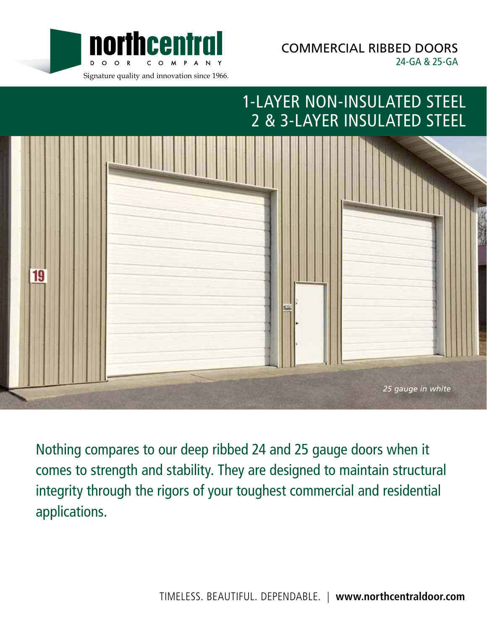

COMMERCIAL RIBBED DOORS 24-GA & 25-GA

# 1-LAYER NON-INSULATED STEEL 2 & 3-LAYER INSULATED STEEL



Nothing compares to our deep ribbed 24 and 25 gauge doors when it comes to strength and stability. They are designed to maintain structural integrity through the rigors of your toughest commercial and residential applications.